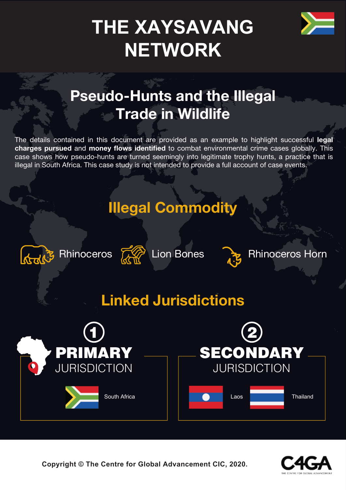

# **THE XAYSAVANG NETWORK**

# **Pseudo-Hunts and the Illegal Trade in Wildlife**

The details contained in this document are provided as an example to highlight successful **legal charges pursued** and **money flows identified** to combat environmental crime cases globally. This case shows how pseudo-hunts are turned seemingly into legitimate trophy hunts, a practice that is illegal in South Africa. This case study is not intended to provide a full account of case events.

# **Illegal Commodity**





Rhinoceros 20 Lion Bones

Rhinoceros Horn

# **Linked Jurisdictions**



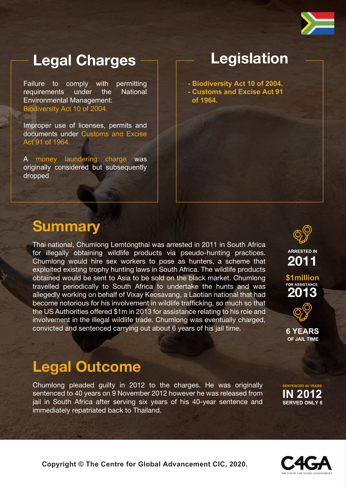

## **Legal Charges**

Failure to comply with permitting requirements under the National Environmental Management: Biodiversity Act 10 of 2004.

Improper use of licenses, permits and documents under Customs and Excise Act 91 of 1964.

A money laundering charge was originally considered but subsequently dropped

### **Legislation**

**- Biodiversity Act 10 of 2004. - Customs and Excise Act 91 of 1964.**

### **Summary**

Thai national, Chumlong Lemtongthai was arrested in 2011 in South Africa for illegally obtaining wildlife products via pseudo-hunting practices. Chumlong would hire sex workers to pose as hunters, a scheme that exploited existing trophy hunting laws in South Africa. The wildlife products obtained would be sent to Asia to be sold on the black market. Chumlong travelled periodically to South Africa to undertake the hunts and was allegedly working on behalf of Vixay Keosavang, a Laotian national that had become notorious for his involvement in wildlife trafficking, so much so that the US Authorities offered \$1m in 2013 for assistance relating to his role and involvement in the illegal wildlife trade. Chumlong was eventually charged, convicted and sentenced carrying out about 6 years of his jail time.



**ARRESTED IN**

**2013 FOR ASSISTANCE \$1million 2011**



**OF JAIL TIME 6 YEARS**

### **Legal Outcome**

Chumlong pleaded guilty in 2012 to the charges. He was originally sentenced to 40 years on 9 November 2012 however he was released from jail in South Africa after serving six years of his 40-year sentence and immediately repatriated back to Thailand.

**SENTENCED 40 YEARS IN 2012 SERVED ONLY 6**

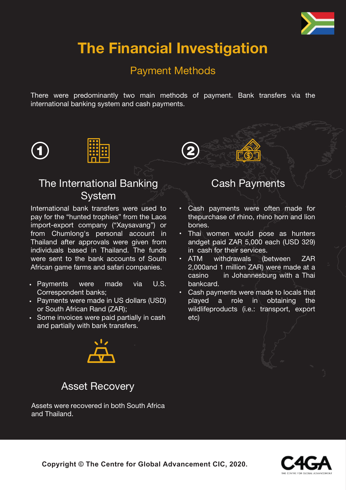

# **The Financial Investigation**

#### Payment Methods

There were predominantly two main methods of payment. Bank transfers via the international banking system and cash payments.







#### The International Banking **System**

International bank transfers were used to pay for the "hunted trophies" from the Laos import-export company ("Xaysavang") or from Chumlong's personal account in Thailand after approvals were given from individuals based in Thailand. The funds were sent to the bank accounts of South African game farms and safari companies.

- Payments were made via U.S. Correspondent banks;
- Payments were made in US dollars (USD) or South African Rand (ZAR);
- Some invoices were paid partially in cash and partially with bank transfers.

#### Cash Payments

⊡் இ

- Cash payments were often made for thepurchase of rhino, rhino horn and lion bones.
- Thai women would pose as hunters andget paid ZAR 5,000 each (USD 329) in cash for their services.
- withdrawals (between ZAR 2,000and 1 million ZAR) were made at a casino in Johannesburg with a Thai bankcard. • ATM
- Cash payments were made to locals that played a role in obtaining the wildlifeproducts (i.e.: transport, export etc)



#### Asset Recovery

Assets were recovered in both South Africa and Thailand.